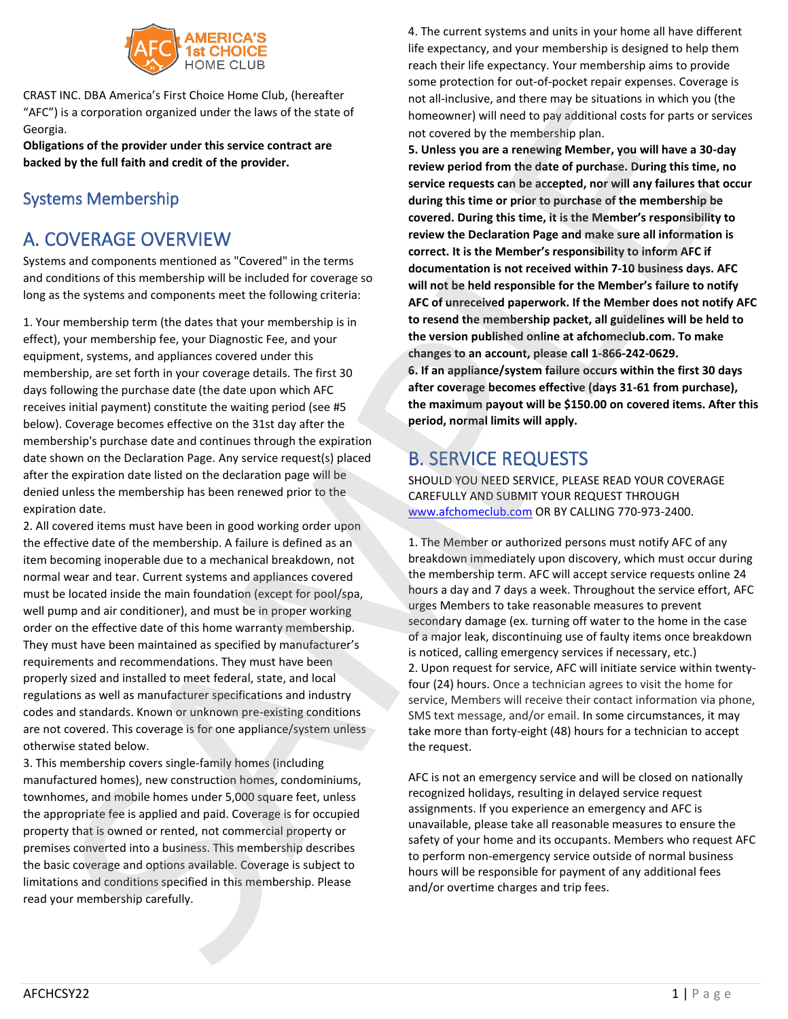

CRAST INC. DBA America's First Choice Home Club, (hereafter "AFC") is a corporation organized under the laws of the state of Georgia.

**Obligations of the provider under this service contract are backed by the full faith and credit of the provider.**

## Systems Membership

# A. COVERAGE OVERVIEW

Systems and components mentioned as "Covered" in the terms and conditions of this membership will be included for coverage so long as the systems and components meet the following criteria:

1. Your membership term (the dates that your membership is in effect), your membership fee, your Diagnostic Fee, and your equipment, systems, and appliances covered under this membership, are set forth in your coverage details. The first 30 days following the purchase date (the date upon which AFC receives initial payment) constitute the waiting period (see #5 below). Coverage becomes effective on the 31st day after the membership's purchase date and continues through the expiration date shown on the Declaration Page. Any service request(s) placed after the expiration date listed on the declaration page will be denied unless the membership has been renewed prior to the expiration date.

2. All covered items must have been in good working order upon the effective date of the membership. A failure is defined as an item becoming inoperable due to a mechanical breakdown, not normal wear and tear. Current systems and appliances covered must be located inside the main foundation (except for pool/spa, well pump and air conditioner), and must be in proper working order on the effective date of this home warranty membership. They must have been maintained as specified by manufacturer's requirements and recommendations. They must have been properly sized and installed to meet federal, state, and local regulations as well as manufacturer specifications and industry codes and standards. Known or unknown pre-existing conditions are not covered. This coverage is for one appliance/system unless otherwise stated below.

3. This membership covers single-family homes (including manufactured homes), new construction homes, condominiums, townhomes, and mobile homes under 5,000 square feet, unless the appropriate fee is applied and paid. Coverage is for occupied property that is owned or rented, not commercial property or premises converted into a business. This membership describes the basic coverage and options available. Coverage is subject to limitations and conditions specified in this membership. Please read your membership carefully.

4. The current systems and units in your home all have different life expectancy, and your membership is designed to help them reach their life expectancy. Your membership aims to provide some protection for out-of-pocket repair expenses. Coverage is not all-inclusive, and there may be situations in which you (the homeowner) will need to pay additional costs for parts or services not covered by the membership plan.

**5. Unless you are a renewing Member, you will have a 30-day review period from the date of purchase. During this time, no service requests can be accepted, nor will any failures that occur during this time or prior to purchase of the membership be covered. During this time, it is the Member's responsibility to review the Declaration Page and make sure all information is correct. It is the Member's responsibility to inform AFC if documentation is not received within 7-10 business days. AFC will not be held responsible for the Member's failure to notify AFC of unreceived paperwork. If the Member does not notify AFC to resend the membership packet, all guidelines will be held to the version published online at afchomeclub.com. To make changes to an account, please call 1-866-242-0629. 6. If an appliance/system failure occurs within the first 30 days after coverage becomes effective (days 31-61 from purchase), the maximum payout will be \$150.00 on covered items. After this period, normal limits will apply.** and the membership was the state of the state of the state of the state of the membership and trip fees. SAMPLE is the state of the state of the state of the state of the state of the state of the state of the state of the

# B. SERVICE REQUESTS

SHOULD YOU NEED SERVICE, PLEASE READ YOUR COVERAGE CAREFULLY AND SUBMIT YOUR REQUEST THROUGH www.afchomeclub.com OR BY CALLING 770-973-2400.

1. The Member or authorized persons must notify AFC of any breakdown immediately upon discovery, which must occur during the membership term. AFC will accept service requests online 24 hours a day and 7 days a week. Throughout the service effort, AFC urges Members to take reasonable measures to prevent secondary damage (ex. turning off water to the home in the case of a major leak, discontinuing use of faulty items once breakdown is noticed, calling emergency services if necessary, etc.) 2. Upon request for service, AFC will initiate service within twentyfour (24) hours. Once a technician agrees to visit the home for service, Members will receive their contact information via phone, SMS text message, and/or email. In some circumstances, it may take more than forty-eight (48) hours for a technician to accept the request.

AFC is not an emergency service and will be closed on nationally recognized holidays, resulting in delayed service request assignments. If you experience an emergency and AFC is unavailable, please take all reasonable measures to ensure the safety of your home and its occupants. Members who request AFC to perform non-emergency service outside of normal business hours will be responsible for payment of any additional fees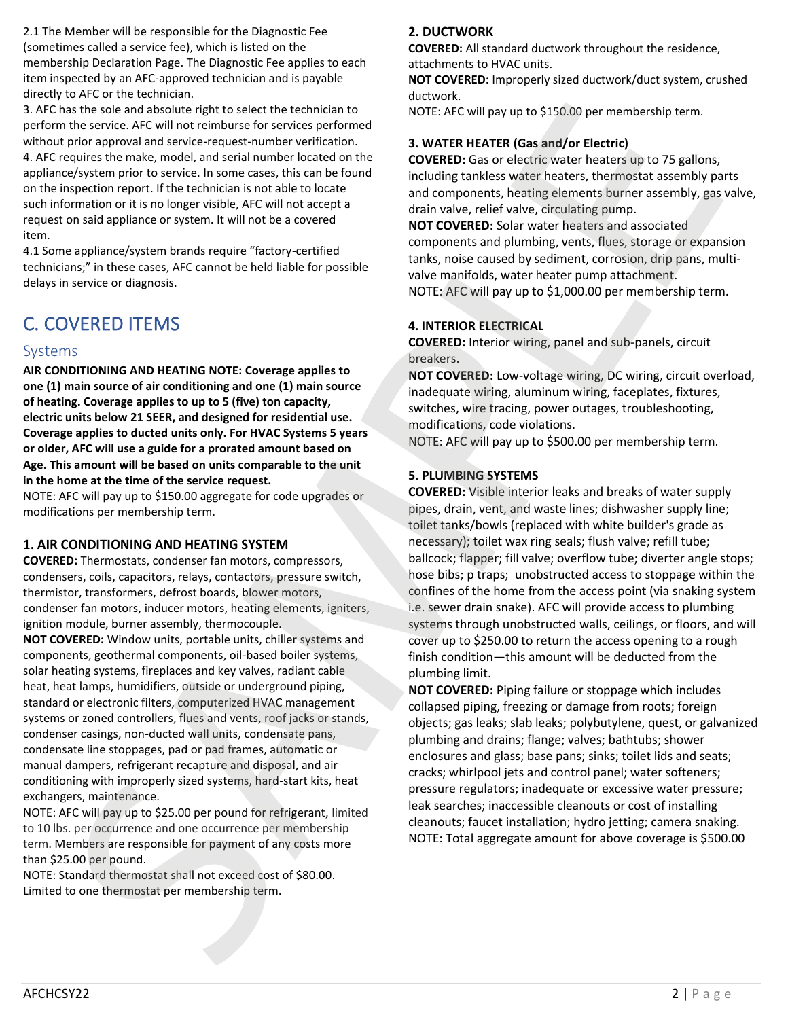2.1 The Member will be responsible for the Diagnostic Fee (sometimes called a service fee), which is listed on the membership Declaration Page. The Diagnostic Fee applies to each item inspected by an AFC-approved technician and is payable directly to AFC or the technician.

3. AFC has the sole and absolute right to select the technician to perform the service. AFC will not reimburse for services performed without prior approval and service-request-number verification. 4. AFC requires the make, model, and serial number located on the appliance/system prior to service. In some cases, this can be found

on the inspection report. If the technician is not able to locate such information or it is no longer visible, AFC will not accept a request on said appliance or system. It will not be a covered item.

4.1 Some appliance/system brands require "factory-certified technicians;" in these cases, AFC cannot be held liable for possible delays in service or diagnosis.

# C. COVERED ITEMS

## Systems

**AIR CONDITIONING AND HEATING NOTE: Coverage applies to one (1) main source of air conditioning and one (1) main source of heating. Coverage applies to up to 5 (five) ton capacity, electric units below 21 SEER, and designed for residential use. Coverage applies to ducted units only. For HVAC Systems 5 years or older, AFC will use a guide for a prorated amount based on Age. This amount will be based on units comparable to the unit in the home at the time of the service request.**

NOTE: AFC will pay up to \$150.00 aggregate for code upgrades or modifications per membership term.

## **1. AIR CONDITIONING AND HEATING SYSTEM**

**COVERED:** Thermostats, condenser fan motors, compressors, condensers, coils, capacitors, relays, contactors, pressure switch, thermistor, transformers, defrost boards, blower motors, condenser fan motors, inducer motors, heating elements, igniters, ignition module, burner assembly, thermocouple.

**NOT COVERED:** Window units, portable units, chiller systems and components, geothermal components, oil-based boiler systems, solar heating systems, fireplaces and key valves, radiant cable heat, heat lamps, humidifiers, outside or underground piping, standard or electronic filters, computerized HVAC management systems or zoned controllers, flues and vents, roof jacks or stands, condenser casings, non-ducted wall units, condensate pans, condensate line stoppages, pad or pad frames, automatic or manual dampers, refrigerant recapture and disposal, and air conditioning with improperly sized systems, hard-start kits, heat exchangers, maintenance.

NOTE: AFC will pay up to \$25.00 per pound for refrigerant, limited to 10 lbs. per occurrence and one occurrence per membership term. Members are responsible for payment of any costs more than \$25.00 per pound.

NOTE: Standard thermostat shall not exceed cost of \$80.00. Limited to one thermostat per membership term.

## **2. DUCTWORK**

**COVERED:** All standard ductwork throughout the residence, attachments to HVAC units.

**NOT COVERED:** Improperly sized ductwork/duct system, crushed ductwork.

NOTE: AFC will pay up to \$150.00 per membership term.

## **3. WATER HEATER (Gas and/or Electric)**

**COVERED:** Gas or electric water heaters up to 75 gallons, including tankless water heaters, thermostat assembly parts and components, heating elements burner assembly, gas valve, drain valve, relief valve, circulating pump.

**NOT COVERED:** Solar water heaters and associated components and plumbing, vents, flues, storage or expansion tanks, noise caused by sediment, corrosion, drip pans, multivalve manifolds, water heater pump attachment. NOTE: AFC will pay up to \$1,000.00 per membership term.

### **4. INTERIOR ELECTRICAL**

**COVERED:** Interior wiring, panel and sub-panels, circuit breakers.

**NOT COVERED:** Low-voltage wiring, DC wiring, circuit overload, inadequate wiring, aluminum wiring, faceplates, fixtures, switches, wire tracing, power outages, troubleshooting, modifications, code violations.

NOTE: AFC will pay up to \$500.00 per membership term.

### **5. PLUMBING SYSTEMS**

**COVERED:** Visible interior leaks and breaks of water supply pipes, drain, vent, and waste lines; dishwasher supply line; toilet tanks/bowls (replaced with white builder's grade as necessary); toilet wax ring seals; flush valve; refill tube; ballcock; flapper; fill valve; overflow tube; diverter angle stops; hose bibs; p traps; unobstructed access to stoppage within the confines of the home from the access point (via snaking system i.e. sewer drain snake). AFC will provide access to plumbing systems through unobstructed walls, ceilings, or floors, and will cover up to \$250.00 to return the access opening to a rough finish condition—this amount will be deducted from the plumbing limit. 2. All Cas in the total aggregate to coverage is pair and case of a symphosize is the coverage is a symphosize to the coverage is a symphosize of above coverage is a symphosize of above coverage is a symphosize of above s for extend about a perfect by electronical to<br>  $\frac{1}{2}$  access and about a perfect by electronical to the content of the content of the content of the content of the content of the content of the content of the content

**NOT COVERED:** Piping failure or stoppage which includes collapsed piping, freezing or damage from roots; foreign objects; gas leaks; slab leaks; polybutylene, quest, or galvanized plumbing and drains; flange; valves; bathtubs; shower enclosures and glass; base pans; sinks; toilet lids and seats; cracks; whirlpool jets and control panel; water softeners; pressure regulators; inadequate or excessive water pressure; leak searches; inaccessible cleanouts or cost of installing cleanouts; faucet installation; hydro jetting; camera snaking.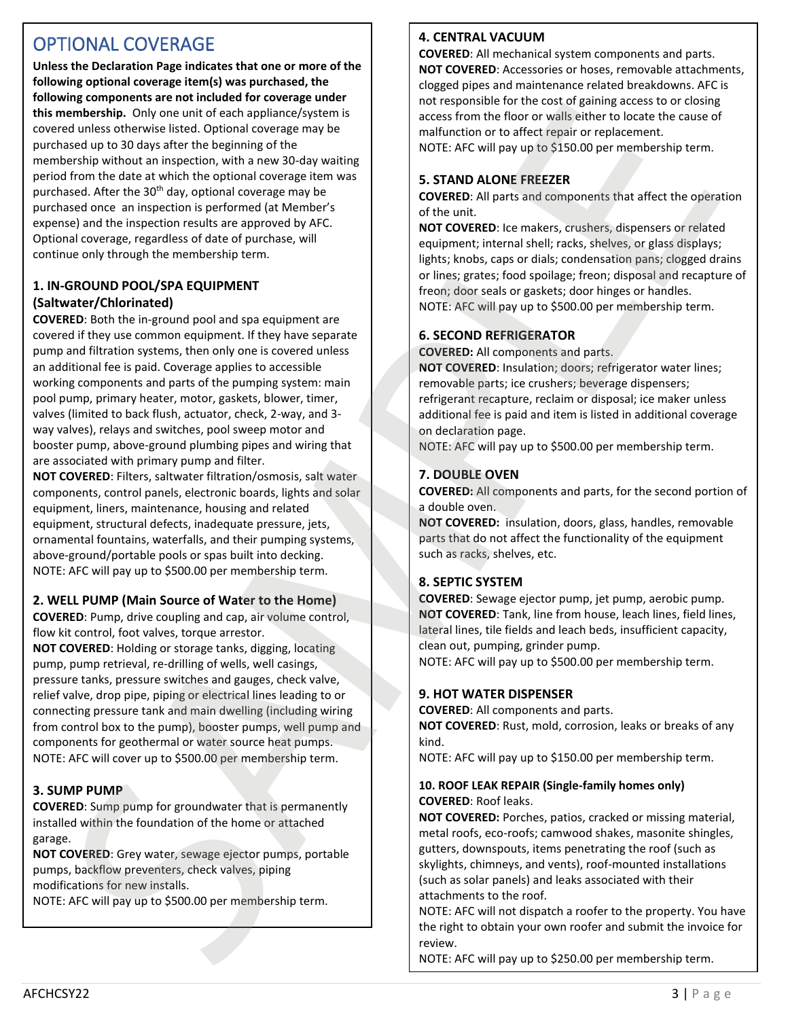# OPTIONAL COVERAGE

**Unless the Declaration Page indicates that one or more of the following optional coverage item(s) was purchased, the following components are not included for coverage under this membership.** Only one unit of each appliance/system is covered unless otherwise listed. Optional coverage may be purchased up to 30 days after the beginning of the membership without an inspection, with a new 30-day waiting period from the date at which the optional coverage item was purchased. After the 30<sup>th</sup> day, optional coverage may be purchased once an inspection is performed (at Member's expense) and the inspection results are approved by AFC. Optional coverage, regardless of date of purchase, will continue only through the membership term. For the experimental form is the control of the control of the control of the control of the control of the control of the control of the control of the control of the control of the control of the control of the control For the same and the same proposed in the same and the same proposed in the same and one of the same and the same and the same and the same and the same and the same and the same and the same and the same and the same and

## **1. IN-GROUND POOL/SPA EQUIPMENT (Saltwater/Chlorinated)**

**COVERED**: Both the in-ground pool and spa equipment are covered if they use common equipment. If they have separate pump and filtration systems, then only one is covered unless an additional fee is paid. Coverage applies to accessible working components and parts of the pumping system: main pool pump, primary heater, motor, gaskets, blower, timer, valves (limited to back flush, actuator, check, 2-way, and 3 way valves), relays and switches, pool sweep motor and booster pump, above-ground plumbing pipes and wiring that are associated with primary pump and filter.

**NOT COVERED**: Filters, saltwater filtration/osmosis, salt water components, control panels, electronic boards, lights and solar equipment, liners, maintenance, housing and related equipment, structural defects, inadequate pressure, jets, ornamental fountains, waterfalls, and their pumping systems, above-ground/portable pools or spas built into decking. NOTE: AFC will pay up to \$500.00 per membership term.

## **2. WELL PUMP (Main Source of Water to the Home)**

**COVERED**: Pump, drive coupling and cap, air volume control, flow kit control, foot valves, torque arrestor.

**NOT COVERED**: Holding or storage tanks, digging, locating pump, pump retrieval, re-drilling of wells, well casings, pressure tanks, pressure switches and gauges, check valve, relief valve, drop pipe, piping or electrical lines leading to or connecting pressure tank and main dwelling (including wiring from control box to the pump), booster pumps, well pump and components for geothermal or water source heat pumps. NOTE: AFC will cover up to \$500.00 per membership term.

## **3. SUMP PUMP**

**COVERED**: Sump pump for groundwater that is permanently installed within the foundation of the home or attached garage.

**NOT COVERED**: Grey water, sewage ejector pumps, portable pumps, backflow preventers, check valves, piping modifications for new installs.

NOTE: AFC will pay up to \$500.00 per membership term.

#### **4. CENTRAL VACUUM**

**COVERED**: All mechanical system components and parts. **NOT COVERED**: Accessories or hoses, removable attachments, clogged pipes and maintenance related breakdowns. AFC is not responsible for the cost of gaining access to or closing access from the floor or walls either to locate the cause of malfunction or to affect repair or replacement.

NOTE: AFC will pay up to \$150.00 per membership term.

### **5. STAND ALONE FREEZER**

**COVERED**: All parts and components that affect the operation of the unit.

**NOT COVERED**: Ice makers, crushers, dispensers or related equipment; internal shell; racks, shelves, or glass displays; lights; knobs, caps or dials; condensation pans; clogged drains or lines; grates; food spoilage; freon; disposal and recapture of freon; door seals or gaskets; door hinges or handles. NOTE: AFC will pay up to \$500.00 per membership term.

### **6. SECOND REFRIGERATOR**

**COVERED:** All components and parts.

**NOT COVERED**: Insulation; doors; refrigerator water lines; removable parts; ice crushers; beverage dispensers; refrigerant recapture, reclaim or disposal; ice maker unless additional fee is paid and item is listed in additional coverage on declaration page.

NOTE: AFC will pay up to \$500.00 per membership term.

### **7. DOUBLE OVEN**

**COVERED:** All components and parts, for the second portion of a double oven.

**NOT COVERED:** insulation, doors, glass, handles, removable parts that do not affect the functionality of the equipment such as racks, shelves, etc.

## **8. SEPTIC SYSTEM**

**COVERED**: Sewage ejector pump, jet pump, aerobic pump. **NOT COVERED**: Tank, line from house, leach lines, field lines, lateral lines, tile fields and leach beds, insufficient capacity, clean out, pumping, grinder pump.

NOTE: AFC will pay up to \$500.00 per membership term.

## **9. HOT WATER DISPENSER**

**COVERED**: All components and parts.

**NOT COVERED**: Rust, mold, corrosion, leaks or breaks of any kind.

NOTE: AFC will pay up to \$150.00 per membership term.

#### **10. ROOF LEAK REPAIR (Single-family homes only) COVERED**: Roof leaks.

**NOT COVERED:** Porches, patios, cracked or missing material, metal roofs, eco-roofs; camwood shakes, masonite shingles, gutters, downspouts, items penetrating the roof (such as skylights, chimneys, and vents), roof-mounted installations (such as solar panels) and leaks associated with their attachments to the roof.

NOTE: AFC will not dispatch a roofer to the property. You have the right to obtain your own roofer and submit the invoice for

NOTE: AFC will pay up to \$250.00 per membership term.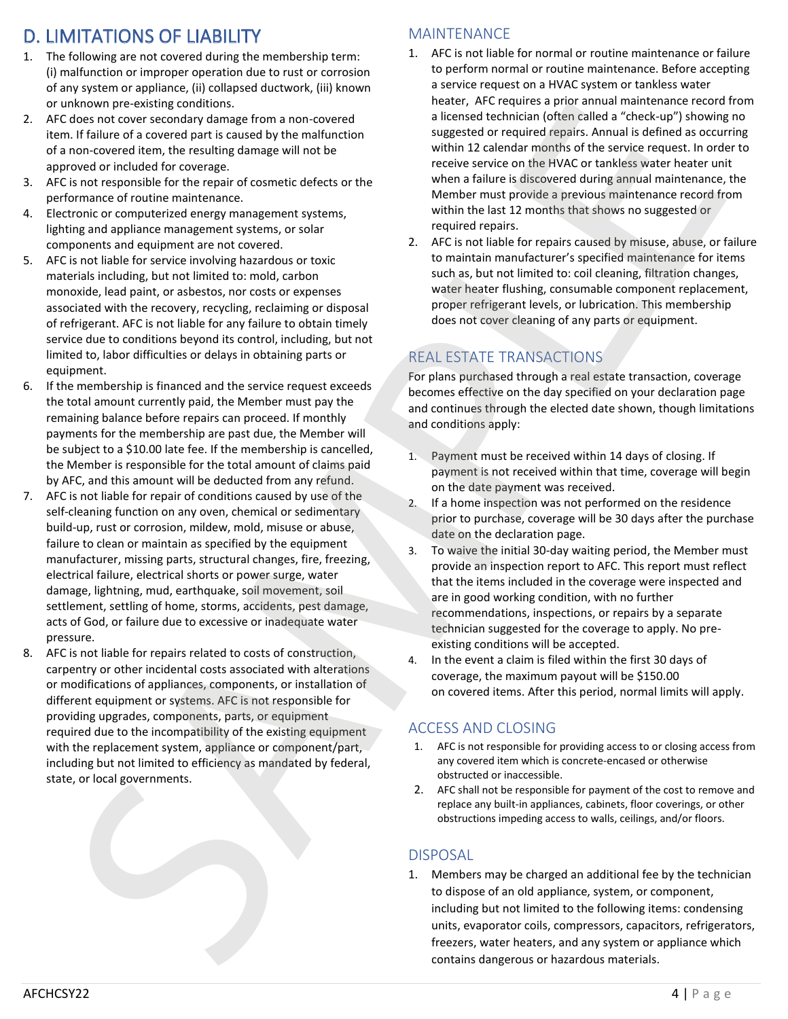# D. LIMITATIONS OF LIABILITY

- 1. The following are not covered during the membership term: (i) malfunction or improper operation due to rust or corrosion of any system or appliance, (ii) collapsed ductwork, (iii) known or unknown pre-existing conditions.
- 2. AFC does not cover secondary damage from a non-covered item. If failure of a covered part is caused by the malfunction of a non-covered item, the resulting damage will not be approved or included for coverage.
- 3. AFC is not responsible for the repair of cosmetic defects or the performance of routine maintenance.
- 4. Electronic or computerized energy management systems, lighting and appliance management systems, or solar components and equipment are not covered.
- 5. AFC is not liable for service involving hazardous or toxic materials including, but not limited to: mold, carbon monoxide, lead paint, or asbestos, nor costs or expenses associated with the recovery, recycling, reclaiming or disposal of refrigerant. AFC is not liable for any failure to obtain timely service due to conditions beyond its control, including, but not limited to, labor difficulties or delays in obtaining parts or equipment.
- 6. If the membership is financed and the service request exceeds the total amount currently paid, the Member must pay the remaining balance before repairs can proceed. If monthly payments for the membership are past due, the Member will be subject to a \$10.00 late fee. If the membership is cancelled, the Member is responsible for the total amount of claims paid by AFC, and this amount will be deducted from any refund.
- 7. AFC is not liable for repair of conditions caused by use of the self-cleaning function on any oven, chemical or sedimentary build-up, rust or corrosion, mildew, mold, misuse or abuse, failure to clean or maintain as specified by the equipment manufacturer, missing parts, structural changes, fire, freezing, electrical failure, electrical shorts or power surge, water damage, lightning, mud, earthquake, soil movement, soil settlement, settling of home, storms, accidents, pest damage, acts of God, or failure due to excessive or inadequate water pressure. freezers, and the material system of the system or all the system or all the material system or all the system or all the system or all the material system or all the system or all the system of the system of the system o when pro every proportion and the same energy and the same spectral interests and the same spectral interests and the same spectral interests and the same spectral interests and the same spectral interests and the same sp
	- 8. AFC is not liable for repairs related to costs of construction, carpentry or other incidental costs associated with alterations or modifications of appliances, components, or installation of different equipment or systems. AFC is not responsible for providing upgrades, components, parts, or equipment required due to the incompatibility of the existing equipment with the replacement system, appliance or component/part, including but not limited to efficiency as mandated by federal, state, or local governments.

## MAINTENANCE

- 1. AFC is not liable for normal or routine maintenance or failure to perform normal or routine maintenance. Before accepting a service request on a HVAC system or tankless water heater, AFC requires a prior annual maintenance record from a licensed technician (often called a "check-up") showing no suggested or required repairs. Annual is defined as occurring within 12 calendar months of the service request. In order to receive service on the HVAC or tankless water heater unit when a failure is discovered during annual maintenance, the Member must provide a previous maintenance record from within the last 12 months that shows no suggested or required repairs.
- 2. AFC is not liable for repairs caused by misuse, abuse, or failure to maintain manufacturer's specified maintenance for items such as, but not limited to: coil cleaning, filtration changes, water heater flushing, consumable component replacement, proper refrigerant levels, or lubrication. This membership does not cover cleaning of any parts or equipment.

## REAL ESTATE TRANSACTIONS

For plans purchased through a real estate transaction, coverage becomes effective on the day specified on your declaration page and continues through the elected date shown, though limitations and conditions apply:

- 1. Payment must be received within 14 days of closing. If payment is not received within that time, coverage will begin on the date payment was received.
- 2. If a home inspection was not performed on the residence prior to purchase, coverage will be 30 days after the purchase date on the declaration page.
- 3. To waive the initial 30-day waiting period, the Member must provide an inspection report to AFC. This report must reflect that the items included in the coverage were inspected and are in good working condition, with no further recommendations, inspections, or repairs by a separate technician suggested for the coverage to apply. No preexisting conditions will be accepted.
- 4. In the event a claim is filed within the first 30 days of coverage, the maximum payout will be \$150.00 on covered items. After this period, normal limits will apply.

## ACCESS AND CLOSING

- 1. AFC is not responsible for providing access to or closing access from any covered item which is concrete-encased or otherwise obstructed or inaccessible.
- 2. AFC shall not be responsible for payment of the cost to remove and replace any built-in appliances, cabinets, floor coverings, or other obstructions impeding access to walls, ceilings, and/or floors.

## DISPOSAL

1. Members may be charged an additional fee by the technician to dispose of an old appliance, system, or component, including but not limited to the following items: condensing units, evaporator coils, compressors, capacitors, refrigerators, contains dangerous or hazardous materials.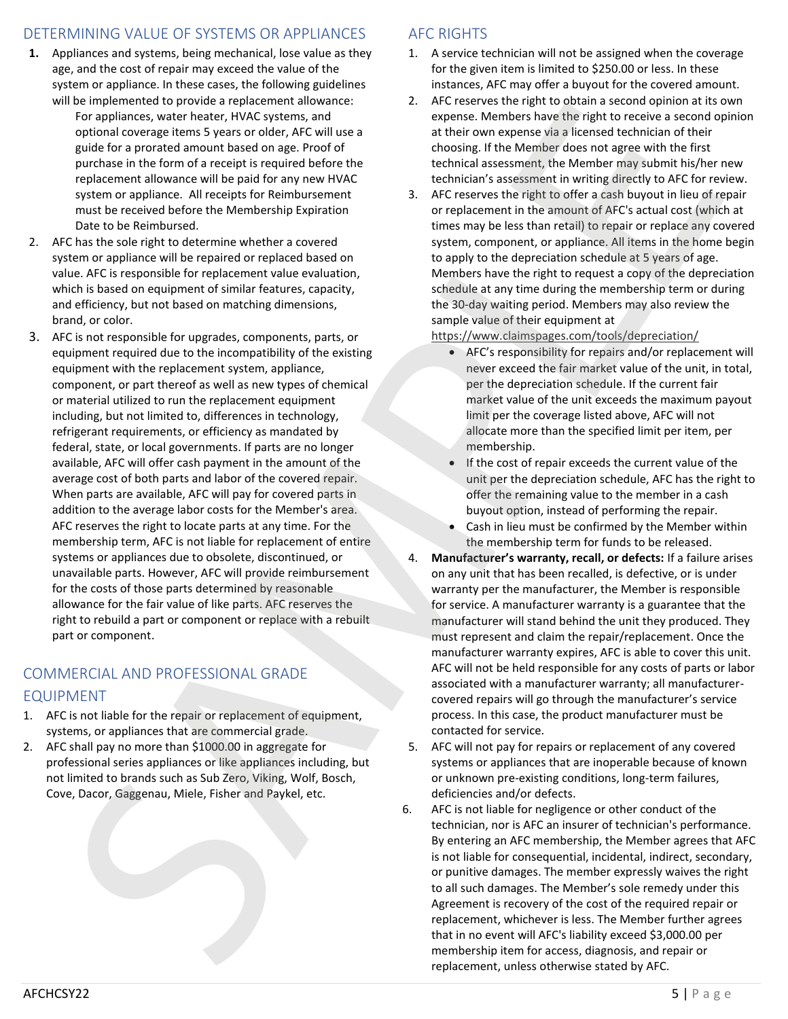## DETERMINING VALUE OF SYSTEMS OR APPLIANCES

- **1.** Appliances and systems, being mechanical, lose value as they age, and the cost of repair may exceed the value of the system or appliance. In these cases, the following guidelines will be implemented to provide a replacement allowance:
	- For appliances, water heater, HVAC systems, and optional coverage items 5 years or older, AFC will use a guide for a prorated amount based on age. Proof of purchase in the form of a receipt is required before the replacement allowance will be paid for any new HVAC system or appliance. All receipts for Reimbursement must be received before the Membership Expiration Date to be Reimbursed.
- 2. AFC has the sole right to determine whether a covered system or appliance will be repaired or replaced based on value. AFC is responsible for replacement value evaluation, which is based on equipment of similar features, capacity, and efficiency, but not based on matching dimensions, brand, or color.
- 3. AFC is not responsible for upgrades, components, parts, or equipment required due to the incompatibility of the existing equipment with the replacement system, appliance, component, or part thereof as well as new types of chemical or material utilized to run the replacement equipment including, but not limited to, differences in technology, refrigerant requirements, or efficiency as mandated by federal, state, or local governments. If parts are no longer available, AFC will offer cash payment in the amount of the average cost of both parts and labor of the covered repair. When parts are available, AFC will pay for covered parts in addition to the average labor costs for the Member's area. AFC reserves the right to locate parts at any time. For the membership term, AFC is not liable for replacement of entire systems or appliances due to obsolete, discontinued, or unavailable parts. However, AFC will provide reimbursement for the costs of those parts determined by reasonable allowance for the fair value of like parts. AFC reserves the right to rebuild a part or component or replace with a rebuilt part or component. membership is  $\alpha$  conserved by the state of access of access of access of access of access of access of access of access of access of access of access of access of access of access of access of access of access of access For exceeding the process of policies and the exceeding the exceeding of the exceeding of the process of the exceeding of the exceeding of the exceeding of the exceeding of the exceeding of the exceeding of the exceeding

## COMMERCIAL AND PROFESSIONAL GRADE

## EQUIPMENT

- 1. AFC is not liable for the repair or replacement of equipment, systems, or appliances that are commercial grade.
- 2. AFC shall pay no more than \$1000.00 in aggregate for professional series appliances or like appliances including, but not limited to brands such as Sub Zero, Viking, Wolf, Bosch, Cove, Dacor, Gaggenau, Miele, Fisher and Paykel, etc.

## AFC RIGHTS

- 1. A service technician will not be assigned when the coverage for the given item is limited to \$250.00 or less. In these instances, AFC may offer a buyout for the covered amount.
- 2. AFC reserves the right to obtain a second opinion at its own expense. Members have the right to receive a second opinion at their own expense via a licensed technician of their choosing. If the Member does not agree with the first technical assessment, the Member may submit his/her new technician's assessment in writing directly to AFC for review.
- 3. AFC reserves the right to offer a cash buyout in lieu of repair or replacement in the amount of AFC's actual cost (which at times may be less than retail) to repair or replace any covered system, component, or appliance. All items in the home begin to apply to the depreciation schedule at 5 years of age. Members have the right to request a copy of the depreciation schedule at any time during the membership term or during the 30-day waiting period. Members may also review the sample value of their equipment at

https://www.claimspages.com/tools/depreciation/

- AFC's responsibility for repairs and/or replacement will never exceed the fair market value of the unit, in total, per the depreciation schedule. If the current fair market value of the unit exceeds the maximum payout limit per the coverage listed above, AFC will not allocate more than the specified limit per item, per membership.
- If the cost of repair exceeds the current value of the unit per the depreciation schedule, AFC has the right to offer the remaining value to the member in a cash buyout option, instead of performing the repair.
- Cash in lieu must be confirmed by the Member within the membership term for funds to be released.
- 4. **Manufacturer's warranty, recall, or defects:** If a failure arises on any unit that has been recalled, is defective, or is under warranty per the manufacturer, the Member is responsible for service. A manufacturer warranty is a guarantee that the manufacturer will stand behind the unit they produced. They must represent and claim the repair/replacement. Once the manufacturer warranty expires, AFC is able to cover this unit. AFC will not be held responsible for any costs of parts or labor associated with a manufacturer warranty; all manufacturercovered repairs will go through the manufacturer's service process. In this case, the product manufacturer must be contacted for service.
- 5. AFC will not pay for repairs or replacement of any covered systems or appliances that are inoperable because of known or unknown pre-existing conditions, long-term failures, deficiencies and/or defects.
- 6. AFC is not liable for negligence or other conduct of the technician, nor is AFC an insurer of technician's performance. By entering an AFC membership, the Member agrees that AFC is not liable for consequential, incidental, indirect, secondary, or punitive damages. The member expressly waives the right to all such damages. The Member's sole remedy under this Agreement is recovery of the cost of the required repair or replacement, whichever is less. The Member further agrees that in no event will AFC's liability exceed \$3,000.00 per replacement, unless otherwise stated by AFC.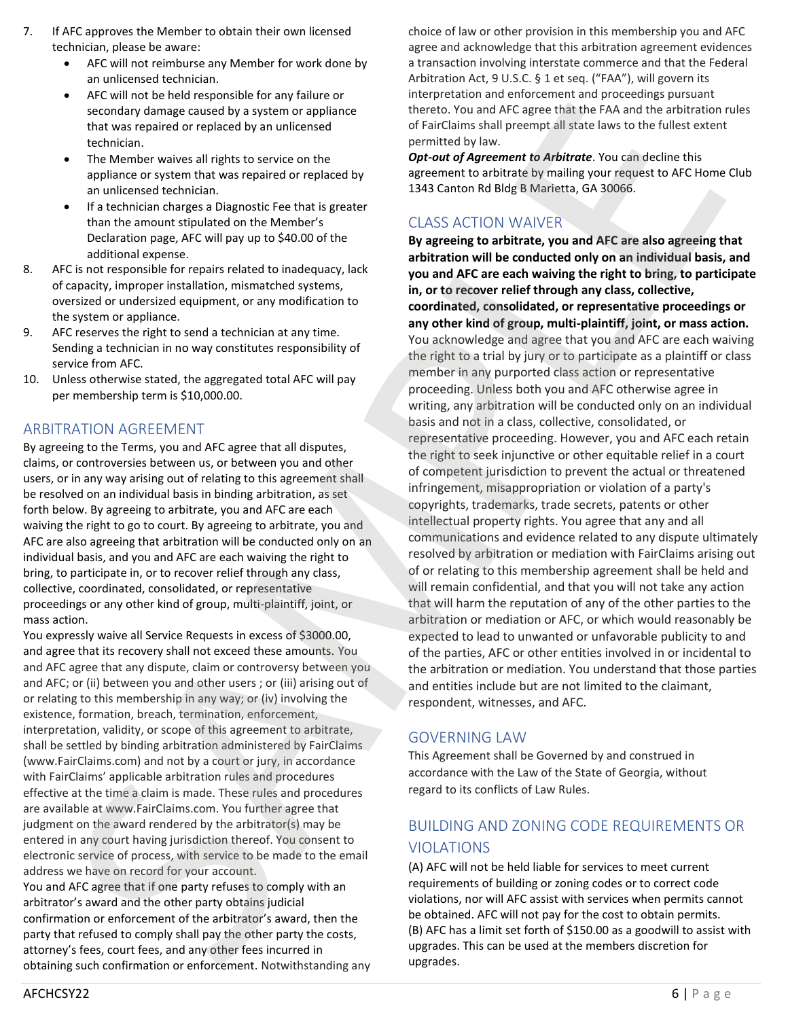- 7. If AFC approves the Member to obtain their own licensed technician, please be aware:
	- AFC will not reimburse any Member for work done by an unlicensed technician.
	- AFC will not be held responsible for any failure or secondary damage caused by a system or appliance that was repaired or replaced by an unlicensed technician.
	- The Member waives all rights to service on the appliance or system that was repaired or replaced by an unlicensed technician.
	- If a technician charges a Diagnostic Fee that is greater than the amount stipulated on the Member's Declaration page, AFC will pay up to \$40.00 of the additional expense.
- 8. AFC is not responsible for repairs related to inadequacy, lack of capacity, improper installation, mismatched systems, oversized or undersized equipment, or any modification to the system or appliance.
- 9. AFC reserves the right to send a technician at any time. Sending a technician in no way constitutes responsibility of service from AFC.
- 10. Unless otherwise stated, the aggregated total AFC will pay per membership term is \$10,000.00.

## ARBITRATION AGREEMENT

By agreeing to the Terms, you and AFC agree that all disputes, claims, or controversies between us, or between you and other users, or in any way arising out of relating to this agreement shall be resolved on an individual basis in binding arbitration, as set forth below. By agreeing to arbitrate, you and AFC are each waiving the right to go to court. By agreeing to arbitrate, you and AFC are also agreeing that arbitration will be conducted only on an individual basis, and you and AFC are each waiving the right to bring, to participate in, or to recover relief through any class, collective, coordinated, consolidated, or representative proceedings or any other kind of group, multi-plaintiff, joint, or mass action.

You expressly waive all Service Requests in excess of \$3000.00, and agree that its recovery shall not exceed these amounts. You and AFC agree that any dispute, claim or controversy between you and AFC; or (ii) between you and other users ; or (iii) arising out of or relating to this membership in any way; or (iv) involving the existence, formation, breach, termination, enforcement, interpretation, validity, or scope of this agreement to arbitrate, shall be settled by binding arbitration administered by FairClaims (www.FairClaims.com) and not by a court or jury, in accordance with FairClaims' applicable arbitration rules and procedures effective at the time a claim is made. These rules and procedures are available at www.FairClaims.com. You further agree that judgment on the award rendered by the arbitrator(s) may be entered in any court having jurisdiction thereof. You consent to electronic service of process, with service to be made to the email address we have on record for your account.

You and AFC agree that if one party refuses to comply with an arbitrator's award and the other party obtains judicial confirmation or enforcement of the arbitrator's award, then the party that refused to comply shall pay the other party the costs, attorney's fees, court fees, and any other fees incurred in obtaining such confirmation or enforcement. Notwithstanding any choice of law or other provision in this membership you and AFC agree and acknowledge that this arbitration agreement evidences a transaction involving interstate commerce and that the Federal Arbitration Act, 9 U.S.C. § 1 et seq. ("FAA"), will govern its interpretation and enforcement and proceedings pursuant thereto. You and AFC agree that the FAA and the arbitration rules of FairClaims shall preempt all state laws to the fullest extent permitted by law.

*Opt-out of Agreement to Arbitrate*. You can decline this agreement to arbitrate by mailing your request to AFC Home Club 1343 Canton Rd Bldg B Marietta, GA 30066.

## CLASS ACTION WAIVER

**By agreeing to arbitrate, you and AFC are also agreeing that arbitration will be conducted only on an individual basis, and you and AFC are each waiving the right to bring, to participate in, or to recover relief through any class, collective, coordinated, consolidated, or representative proceedings or any other kind of group, multi-plaintiff, joint, or mass action.** You acknowledge and agree that you and AFC are each waiving the right to a trial by jury or to participate as a plaintiff or class member in any purported class action or representative proceeding. Unless both you and AFC otherwise agree in writing, any arbitration will be conducted only on an individual basis and not in a class, collective, consolidated, or representative proceeding. However, you and AFC each retain the right to seek injunctive or other equitable relief in a court of competent jurisdiction to prevent the actual or threatened infringement, misappropriation or violation of a party's copyrights, trademarks, trade secrets, patents or other intellectual property rights. You agree that any and all communications and evidence related to any dispute ultimately resolved by arbitration or mediation with FairClaims arising out of or relating to this membership agreement shall be held and will remain confidential, and that you will not take any action that will harm the reputation of any of the other parties to the arbitration or mediation or AFC, or which would reasonably be expected to lead to unwanted or unfavorable publicity to and of the parties, AFC or other entities involved in or incidental to the arbitration or mediation. You understand that those parties and entities include but are not limited to the claimant, respondent, witnesses, and AFC. used at the members discretion of the members discretion of the members discretion for the members discretion for the members discretion for the members discretion for the members discretion for the members discretion fo iconstitute comparison parameters are painted to the state of the state of the state of the state of the state of the state of the state of the state of the state of the state of the state of the state of the state of the

## GOVERNING LAW

This Agreement shall be Governed by and construed in accordance with the Law of the State of Georgia, without regard to its conflicts of Law Rules.

## BUILDING AND ZONING CODE REQUIREMENTS OR VIOLATIONS

(A) AFC will not be held liable for services to meet current requirements of building or zoning codes or to correct code violations, nor will AFC assist with services when permits cannot be obtained. AFC will not pay for the cost to obtain permits. (B) AFC has a limit set forth of \$150.00 as a goodwill to assist with upgrades.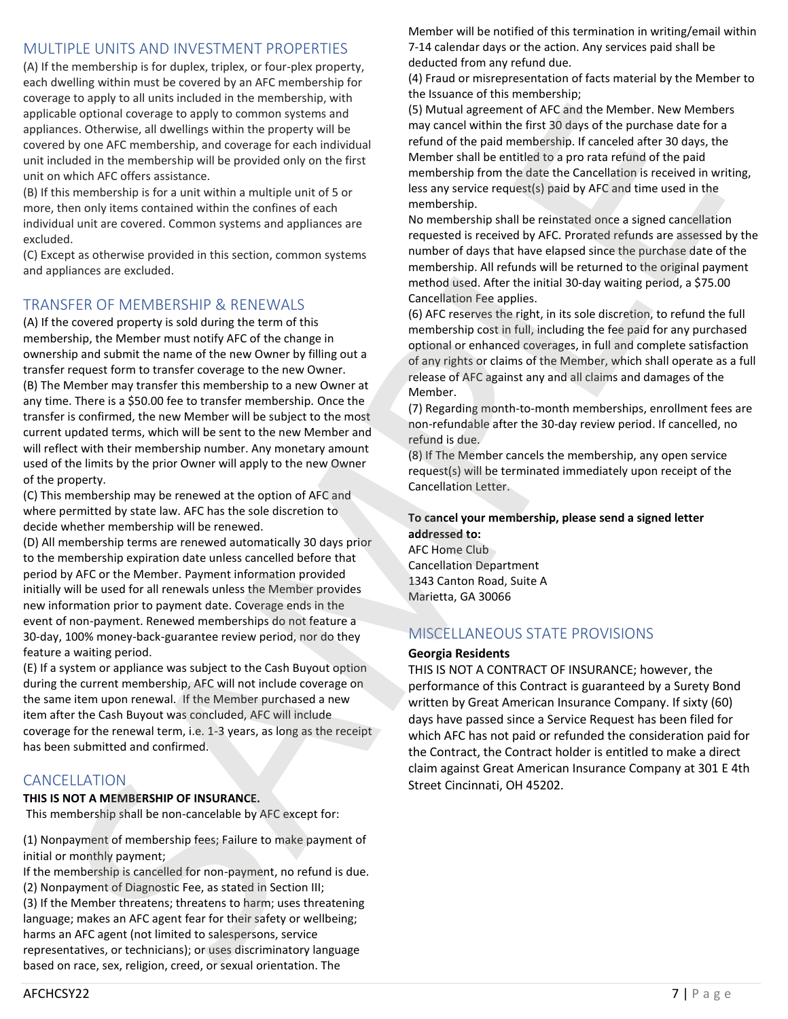## MULTIPLE UNITS AND INVESTMENT PROPERTIES

(A) If the membership is for duplex, triplex, or four-plex property, each dwelling within must be covered by an AFC membership for coverage to apply to all units included in the membership, with applicable optional coverage to apply to common systems and appliances. Otherwise, all dwellings within the property will be covered by one AFC membership, and coverage for each individual unit included in the membership will be provided only on the first unit on which AFC offers assistance.

(B) If this membership is for a unit within a multiple unit of 5 or more, then only items contained within the confines of each individual unit are covered. Common systems and appliances are excluded.

(C) Except as otherwise provided in this section, common systems and appliances are excluded.

## TRANSFER OF MEMBERSHIP & RENEWALS

(A) If the covered property is sold during the term of this membership, the Member must notify AFC of the change in ownership and submit the name of the new Owner by filling out a transfer request form to transfer coverage to the new Owner. (B) The Member may transfer this membership to a new Owner at any time. There is a \$50.00 fee to transfer membership. Once the transfer is confirmed, the new Member will be subject to the most current updated terms, which will be sent to the new Member and will reflect with their membership number. Any monetary amount used of the limits by the prior Owner will apply to the new Owner of the property. specialized a method in this procedure and the method in the species of the interest of AC, including the control of the specialized a method in the control of the specialized a method in the specialized and the specializ is other and the state of the state of the state of the state of the state of the state of the state of the state of the state of the state of the state of the state of the state of the state of the state of the state of t

(C) This membership may be renewed at the option of AFC and where permitted by state law. AFC has the sole discretion to decide whether membership will be renewed.

(D) All membership terms are renewed automatically 30 days prior to the membership expiration date unless cancelled before that period by AFC or the Member. Payment information provided initially will be used for all renewals unless the Member provides new information prior to payment date. Coverage ends in the event of non-payment. Renewed memberships do not feature a 30-day, 100% money-back-guarantee review period, nor do they feature a waiting period.

(E) If a system or appliance was subject to the Cash Buyout option during the current membership, AFC will not include coverage on the same item upon renewal. If the Member purchased a new item after the Cash Buyout was concluded, AFC will include coverage for the renewal term, i.e. 1-3 years, as long as the receipt has been submitted and confirmed.

## CANCELLATION

#### **THIS IS NOT A MEMBERSHIP OF INSURANCE.**

This membership shall be non-cancelable by AFC except for:

(1) Nonpayment of membership fees; Failure to make payment of initial or monthly payment;

If the membership is cancelled for non-payment, no refund is due. (2) Nonpayment of Diagnostic Fee, as stated in Section III; (3) If the Member threatens; threatens to harm; uses threatening language; makes an AFC agent fear for their safety or wellbeing; harms an AFC agent (not limited to salespersons, service representatives, or technicians); or uses discriminatory language based on race, sex, religion, creed, or sexual orientation. The

Member will be notified of this termination in writing/email within 7-14 calendar days or the action. Any services paid shall be deducted from any refund due.

(4) Fraud or misrepresentation of facts material by the Member to the Issuance of this membership;

(5) Mutual agreement of AFC and the Member. New Members may cancel within the first 30 days of the purchase date for a refund of the paid membership. If canceled after 30 days, the Member shall be entitled to a pro rata refund of the paid membership from the date the Cancellation is received in writing, less any service request(s) paid by AFC and time used in the membership.

No membership shall be reinstated once a signed cancellation requested is received by AFC. Prorated refunds are assessed by the number of days that have elapsed since the purchase date of the membership. All refunds will be returned to the original payment method used. After the initial 30-day waiting period, a \$75.00 Cancellation Fee applies.

(6) AFC reserves the right, in its sole discretion, to refund the full membership cost in full, including the fee paid for any purchased optional or enhanced coverages, in full and complete satisfaction of any rights or claims of the Member, which shall operate as a full release of AFC against any and all claims and damages of the Member.

(7) Regarding month-to-month memberships, enrollment fees are non-refundable after the 30-day review period. If cancelled, no refund is due.

(8) If The Member cancels the membership, any open service request(s) will be terminated immediately upon receipt of the Cancellation Letter.

### **To cancel your membership, please send a signed letter addressed to:**

AFC Home Club Cancellation Department 1343 Canton Road, Suite A Marietta, GA 30066

## MISCELLANEOUS STATE PROVISIONS

#### **Georgia Residents**

THIS IS NOT A CONTRACT OF INSURANCE; however, the performance of this Contract is guaranteed by a Surety Bond written by Great American Insurance Company. If sixty (60) days have passed since a Service Request has been filed for which AFC has not paid or refunded the consideration paid for the Contract, the Contract holder is entitled to make a direct claim against Great American Insurance Company at 301 E 4th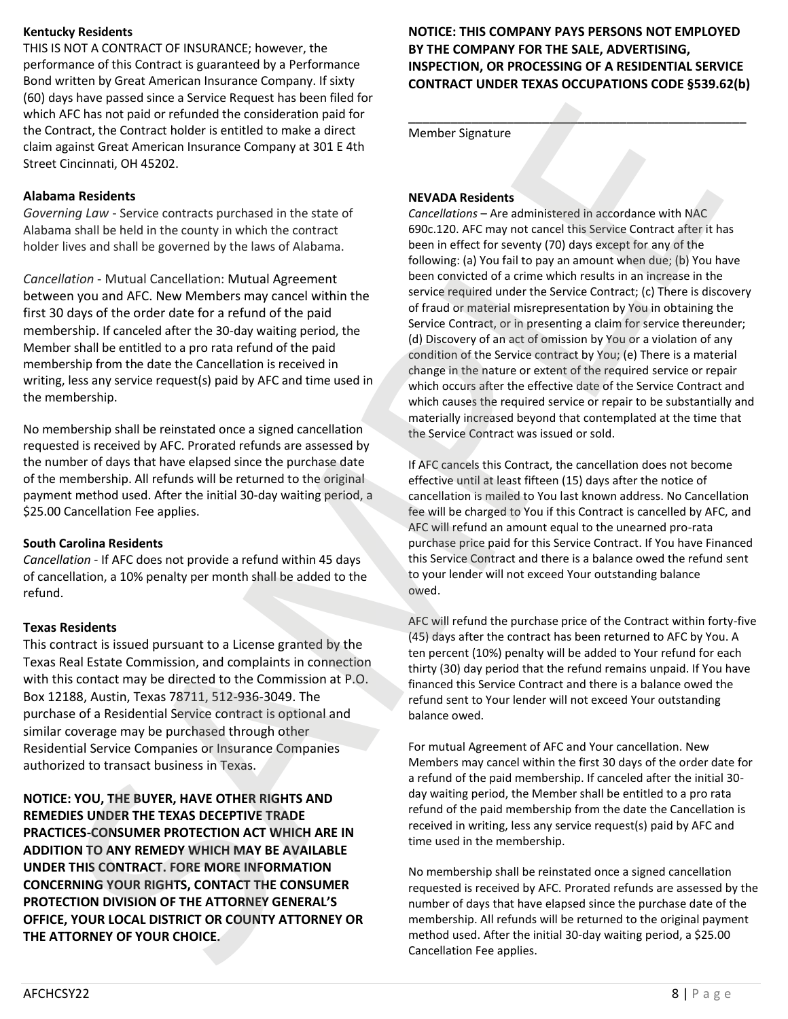### **Kentucky Residents**

THIS IS NOT A CONTRACT OF INSURANCE; however, the performance of this Contract is guaranteed by a Performance Bond written by Great American Insurance Company. If sixty (60) days have passed since a Service Request has been filed for which AFC has not paid or refunded the consideration paid for the Contract, the Contract holder is entitled to make a direct claim against Great American Insurance Company at 301 E 4th Street Cincinnati, OH 45202.

#### **Alabama Residents**

*Governing Law* - Service contracts purchased in the state of Alabama shall be held in the county in which the contract holder lives and shall be governed by the laws of Alabama.

*Cancellation* - Mutual Cancellation: Mutual Agreement between you and AFC. New Members may cancel within the first 30 days of the order date for a refund of the paid membership. If canceled after the 30-day waiting period, the Member shall be entitled to a pro rata refund of the paid membership from the date the Cancellation is received in writing, less any service request(s) paid by AFC and time used in the membership.

No membership shall be reinstated once a signed cancellation requested is received by AFC. Prorated refunds are assessed by the number of days that have elapsed since the purchase date of the membership. All refunds will be returned to the original payment method used. After the initial 30-day waiting period, a \$25.00 Cancellation Fee applies.

#### **South Carolina Residents**

*Cancellation* - If AFC does not provide a refund within 45 days of cancellation, a 10% penalty per month shall be added to the refund.

#### **Texas Residents**

This contract is issued pursuant to a License granted by the Texas Real Estate Commission, and complaints in connection with this contact may be directed to the Commission at P.O. Box 12188, Austin, Texas 78711, 512-936-3049. The purchase of a Residential Service contract is optional and similar coverage may be purchased through other Residential Service Companies or Insurance Companies authorized to transact business in Texas.

**NOTICE: YOU, THE BUYER, HAVE OTHER RIGHTS AND REMEDIES UNDER THE TEXAS DECEPTIVE TRADE PRACTICES-CONSUMER PROTECTION ACT WHICH ARE IN ADDITION TO ANY REMEDY WHICH MAY BE AVAILABLE UNDER THIS CONTRACT. FORE MORE INFORMATION CONCERNING YOUR RIGHTS, CONTACT THE CONSUMER PROTECTION DIVISION OF THE ATTORNEY GENERAL'S OFFICE, YOUR LOCAL DISTRICT OR COUNTY ATTORNEY OR THE ATTORNEY OF YOUR CHOICE.**

### **NOTICE: THIS COMPANY PAYS PERSONS NOT EMPLOYED BY THE COMPANY FOR THE SALE, ADVERTISING, INSPECTION, OR PROCESSING OF A RESIDENTIAL SERVICE CONTRACT UNDER TEXAS OCCUPATIONS CODE §539.62(b)**

\_\_\_\_\_\_\_\_\_\_\_\_\_\_\_\_\_\_\_\_\_\_\_\_\_\_\_\_\_\_\_\_\_\_\_\_\_\_\_\_\_\_\_\_\_\_\_\_

Member Signature

#### **NEVADA Residents**

*Cancellations* – Are administered in accordance with NAC 690c.120. AFC may not cancel this Service Contract after it has been in effect for seventy (70) days except for any of the following: (a) You fail to pay an amount when due; (b) You have been convicted of a crime which results in an increase in the service required under the Service Contract; (c) There is discovery of fraud or material misrepresentation by You in obtaining the Service Contract, or in presenting a claim for service thereunder; (d) Discovery of an act of omission by You or a violation of any condition of the Service contract by You; (e) There is a material change in the nature or extent of the required service or repair which occurs after the effective date of the Service Contract and which causes the required service or repair to be substantially and materially increased beyond that contemplated at the time that the Service Contract was issued or sold. when After the the internal internal internal internal internal internal internal internal internal internal internal internal internal internal internal internal internal internal internal internal internal internal inte FC has researched the strengthening from the strengthening in the strengthening of the strengthening of the strengthening of the strengthening of the strengthening of the strengthening of the strengthening and the strength

If AFC cancels this Contract, the cancellation does not become effective until at least fifteen (15) days after the notice of cancellation is mailed to You last known address. No Cancellation fee will be charged to You if this Contract is cancelled by AFC, and AFC will refund an amount equal to the unearned pro-rata purchase price paid for this Service Contract. If You have Financed this Service Contract and there is a balance owed the refund sent to your lender will not exceed Your outstanding balance owed.

AFC will refund the purchase price of the Contract within forty-five (45) days after the contract has been returned to AFC by You. A ten percent (10%) penalty will be added to Your refund for each thirty (30) day period that the refund remains unpaid. If You have financed this Service Contract and there is a balance owed the refund sent to Your lender will not exceed Your outstanding balance owed.

For mutual Agreement of AFC and Your cancellation. New Members may cancel within the first 30 days of the order date for a refund of the paid membership. If canceled after the initial 30 day waiting period, the Member shall be entitled to a pro rata refund of the paid membership from the date the Cancellation is received in writing, less any service request(s) paid by AFC and time used in the membership.

No membership shall be reinstated once a signed cancellation requested is received by AFC. Prorated refunds are assessed by the number of days that have elapsed since the purchase date of the membership. All refunds will be returned to the original payment Cancellation Fee applies.